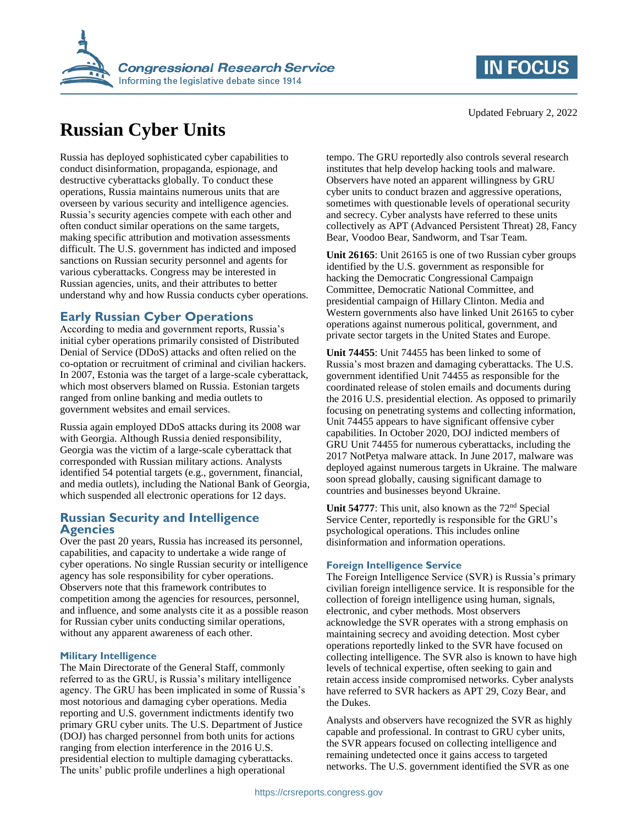

# **Russian Cyber Units**

Russia has deployed sophisticated cyber capabilities to conduct disinformation, propaganda, espionage, and destructive cyberattacks globally. To conduct these operations, Russia maintains numerous units that are overseen by various security and intelligence agencies. Russia's security agencies compete with each other and often conduct similar operations on the same targets, making specific attribution and motivation assessments difficult. The U.S. government has indicted and imposed sanctions on Russian security personnel and agents for various cyberattacks. Congress may be interested in Russian agencies, units, and their attributes to better understand why and how Russia conducts cyber operations.

## **Early Russian Cyber Operations**

According to media and government reports, Russia's initial cyber operations primarily consisted of Distributed Denial of Service (DDoS) attacks and often relied on the co-optation or recruitment of criminal and civilian hackers. In 2007, Estonia was the target of a large-scale cyberattack, which most observers blamed on Russia. Estonian targets ranged from online banking and media outlets to government websites and email services.

Russia again employed DDoS attacks during its 2008 war with Georgia. Although Russia denied responsibility, Georgia was the victim of a large-scale cyberattack that corresponded with Russian military actions. Analysts identified 54 potential targets (e.g., government, financial, and media outlets), including the National Bank of Georgia, which suspended all electronic operations for 12 days.

### **Russian Security and Intelligence Agencies**

Over the past 20 years, Russia has increased its personnel, capabilities, and capacity to undertake a wide range of cyber operations. No single Russian security or intelligence agency has sole responsibility for cyber operations. Observers note that this framework contributes to competition among the agencies for resources, personnel, and influence, and some analysts cite it as a possible reason for Russian cyber units conducting similar operations, without any apparent awareness of each other.

#### **Military Intelligence**

The Main Directorate of the General Staff, commonly referred to as the GRU, is Russia's military intelligence agency. The GRU has been implicated in some of Russia's most notorious and damaging cyber operations. Media reporting and U.S. government indictments identify two primary GRU cyber units. The U.S. Department of Justice (DOJ) has charged personnel from both units for actions ranging from election interference in the 2016 U.S. presidential election to multiple damaging cyberattacks. The units' public profile underlines a high operational

tempo. The GRU reportedly also controls several research institutes that help develop hacking tools and malware. Observers have noted an apparent willingness by GRU cyber units to conduct brazen and aggressive operations, sometimes with questionable levels of operational security and secrecy. Cyber analysts have referred to these units collectively as APT (Advanced Persistent Threat) 28, Fancy Bear, Voodoo Bear, Sandworm, and Tsar Team.

**Unit 26165**: Unit 26165 is one of two Russian cyber groups identified by the U.S. government as responsible for hacking the Democratic Congressional Campaign Committee, Democratic National Committee, and presidential campaign of Hillary Clinton. Media and Western governments also have linked Unit 26165 to cyber operations against numerous political, government, and private sector targets in the United States and Europe.

**Unit 74455**: Unit 74455 has been linked to some of Russia's most brazen and damaging cyberattacks. The U.S. government identified Unit 74455 as responsible for the coordinated release of stolen emails and documents during the 2016 U.S. presidential election. As opposed to primarily focusing on penetrating systems and collecting information, Unit 74455 appears to have significant offensive cyber capabilities. In October 2020, DOJ indicted members of GRU Unit 74455 for numerous cyberattacks, including the 2017 NotPetya malware attack. In June 2017, malware was deployed against numerous targets in Ukraine. The malware soon spread globally, causing significant damage to countries and businesses beyond Ukraine.

Unit 54777: This unit, also known as the 72<sup>nd</sup> Special Service Center, reportedly is responsible for the GRU's psychological operations. This includes online disinformation and information operations.

#### **Foreign Intelligence Service**

The Foreign Intelligence Service (SVR) is Russia's primary civilian foreign intelligence service. It is responsible for the collection of foreign intelligence using human, signals, electronic, and cyber methods. Most observers acknowledge the SVR operates with a strong emphasis on maintaining secrecy and avoiding detection. Most cyber operations reportedly linked to the SVR have focused on collecting intelligence. The SVR also is known to have high levels of technical expertise, often seeking to gain and retain access inside compromised networks. Cyber analysts have referred to SVR hackers as APT 29, Cozy Bear, and the Dukes.

Analysts and observers have recognized the SVR as highly capable and professional. In contrast to GRU cyber units, the SVR appears focused on collecting intelligence and remaining undetected once it gains access to targeted networks. The U.S. government identified the SVR as one

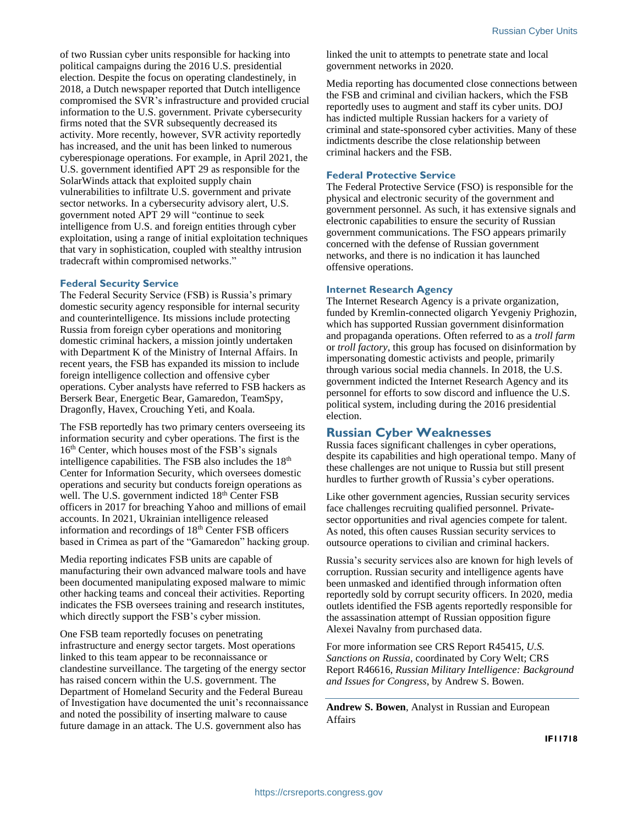of two Russian cyber units responsible for hacking into political campaigns during the 2016 U.S. presidential election. Despite the focus on operating clandestinely, in 2018, a Dutch newspaper reported that Dutch intelligence compromised the SVR's infrastructure and provided crucial information to the U.S. government. Private cybersecurity firms noted that the SVR subsequently decreased its activity. More recently, however, SVR activity reportedly has increased, and the unit has been linked to numerous cyberespionage operations. For example, in April 2021, the U.S. government identified APT 29 as responsible for the SolarWinds attack that exploited supply chain vulnerabilities to infiltrate U.S. government and private sector networks. In a cybersecurity advisory alert, U.S. government noted APT 29 will "continue to seek intelligence from U.S. and foreign entities through cyber exploitation, using a range of initial exploitation techniques that vary in sophistication, coupled with stealthy intrusion tradecraft within compromised networks."

#### **Federal Security Service**

The Federal Security Service (FSB) is Russia's primary domestic security agency responsible for internal security and counterintelligence. Its missions include protecting Russia from foreign cyber operations and monitoring domestic criminal hackers, a mission jointly undertaken with Department K of the Ministry of Internal Affairs. In recent years, the FSB has expanded its mission to include foreign intelligence collection and offensive cyber operations. Cyber analysts have referred to FSB hackers as Berserk Bear, Energetic Bear, Gamaredon, TeamSpy, Dragonfly, Havex, Crouching Yeti, and Koala.

The FSB reportedly has two primary centers overseeing its information security and cyber operations. The first is the 16th Center, which houses most of the FSB's signals intelligence capabilities. The FSB also includes the 18<sup>th</sup> Center for Information Security, which oversees domestic operations and security but conducts foreign operations as well. The U.S. government indicted 18<sup>th</sup> Center FSB officers in 2017 for breaching Yahoo and millions of email accounts. In 2021, Ukrainian intelligence released information and recordings of 18th Center FSB officers based in Crimea as part of the "Gamaredon" hacking group.

Media reporting indicates FSB units are capable of manufacturing their own advanced malware tools and have been documented manipulating exposed malware to mimic other hacking teams and conceal their activities. Reporting indicates the FSB oversees training and research institutes, which directly support the FSB's cyber mission.

One FSB team reportedly focuses on penetrating infrastructure and energy sector targets. Most operations linked to this team appear to be reconnaissance or clandestine surveillance. The targeting of the energy sector has raised concern within the U.S. government. The Department of Homeland Security and the Federal Bureau of Investigation have documented the unit's reconnaissance and noted the possibility of inserting malware to cause future damage in an attack. The U.S. government also has

linked the unit to attempts to penetrate state and local government networks in 2020.

Media reporting has documented close connections between the FSB and criminal and civilian hackers, which the FSB reportedly uses to augment and staff its cyber units. DOJ has indicted multiple Russian hackers for a variety of criminal and state-sponsored cyber activities. Many of these indictments describe the close relationship between criminal hackers and the FSB.

#### **Federal Protective Service**

The Federal Protective Service (FSO) is responsible for the physical and electronic security of the government and government personnel. As such, it has extensive signals and electronic capabilities to ensure the security of Russian government communications. The FSO appears primarily concerned with the defense of Russian government networks, and there is no indication it has launched offensive operations.

#### **Internet Research Agency**

The Internet Research Agency is a private organization, funded by Kremlin-connected oligarch Yevgeniy Prighozin, which has supported Russian government disinformation and propaganda operations. Often referred to as a *troll farm* or *troll factory*, this group has focused on disinformation by impersonating domestic activists and people, primarily through various social media channels. In 2018, the U.S. government indicted the Internet Research Agency and its personnel for efforts to sow discord and influence the U.S. political system, including during the 2016 presidential election.

## **Russian Cyber Weaknesses**

Russia faces significant challenges in cyber operations, despite its capabilities and high operational tempo. Many of these challenges are not unique to Russia but still present hurdles to further growth of Russia's cyber operations.

Like other government agencies, Russian security services face challenges recruiting qualified personnel. Privatesector opportunities and rival agencies compete for talent. As noted, this often causes Russian security services to outsource operations to civilian and criminal hackers.

Russia's security services also are known for high levels of corruption. Russian security and intelligence agents have been unmasked and identified through information often reportedly sold by corrupt security officers. In 2020, media outlets identified the FSB agents reportedly responsible for the assassination attempt of Russian opposition figure Alexei Navalny from purchased data.

For more information see CRS Report R45415, *U.S. Sanctions on Russia*, coordinated by Cory Welt; CRS Report R46616, *Russian Military Intelligence: Background and Issues for Congress*, by Andrew S. Bowen.

**Andrew S. Bowen**, Analyst in Russian and European Affairs